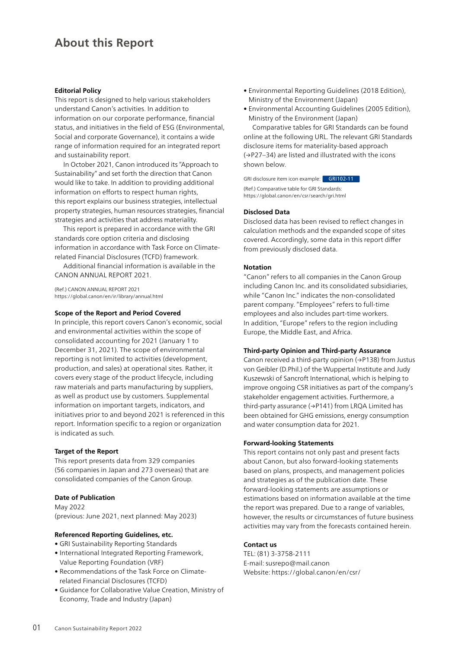# **About this Report**

#### **Editorial Policy**

This report is designed to help various stakeholders understand Canon's activities. In addition to information on our corporate performance, financial status, and initiatives in the field of ESG (Environmental, Social and corporate Governance), it contains a wide range of information required for an integrated report and sustainability report.

In October 2021, Canon introduced its "Approach to Sustainability" and set forth the direction that Canon would like to take. In addition to providing additional information on efforts to respect human rights, this report explains our business strategies, intellectual property strategies, human resources strategies, financial strategies and activities that address materiality.

This report is prepared in accordance with the GRI standards core option criteria and disclosing information in accordance with Task Force on Climaterelated Financial Disclosures (TCFD) framework.

Additional financial information is available in the CANON ANNUAL REPORT 2021.

(Ref.) CANON ANNUAL REPORT 2021 <https://global.canon/en/ir/library/annual.html>

#### **Scope of the Report and Period Covered**

In principle, this report covers Canon's economic, social and environmental activities within the scope of consolidated accounting for 2021 (January 1 to December 31, 2021). The scope of environmental reporting is not limited to activities (development, production, and sales) at operational sites. Rather, it covers every stage of the product lifecycle, including raw materials and parts manufacturing by suppliers, as well as product use by customers. Supplemental information on important targets, indicators, and initiatives prior to and beyond 2021 is referenced in this report. Information specific to a region or organization is indicated as such.

#### **Target of the Report**

This report presents data from 329 companies (56 companies in Japan and 273 overseas) that are consolidated companies of the Canon Group.

#### **Date of Publication**

May 2022 (previous: June 2021, next planned: May 2023)

#### **Referenced Reporting Guidelines, etc.**

- GRI Sustainability Reporting Standards
- International Integrated Reporting Framework, Value Reporting Foundation (VRF)
- Recommendations of the Task Force on Climaterelated Financial Disclosures (TCFD)
- Guidance for Collaborative Value Creation, Ministry of Economy, Trade and Industry (Japan)
- Environmental Reporting Guidelines (2018 Edition), Ministry of the Environment (Japan)
- Environmental Accounting Guidelines (2005 Edition), Ministry of the Environment (Japan)

Comparative tables for GRI Standards can be found online at the following URL. The relevant GRI Standards disclosure items for materiality-based approach (→P27–34) are listed and illustrated with the icons shown below.

GRI disclosure item icon example: GRI102-11

(Ref.) Comparative table for GRI Standards: https://global.canon/en/csr/search/gri.html

#### **Disclosed Data**

Disclosed data has been revised to reflect changes in calculation methods and the expanded scope of sites covered. Accordingly, some data in this report differ from previously disclosed data.

#### **Notation**

"Canon" refers to all companies in the Canon Group including Canon Inc. and its consolidated subsidiaries, while "Canon Inc." indicates the non-consolidated parent company. "Employees" refers to full-time employees and also includes part-time workers. In addition, "Europe" refers to the region including Europe, the Middle East, and Africa.

#### **Third-party Opinion and Third-party Assurance**

Canon received a third-party opinion (→P138) from Justus von Geibler (D.Phil.) of the Wuppertal Institute and Judy Kuszewski of Sancroft International, which is helping to improve ongoing CSR initiatives as part of the company's stakeholder engagement activities. Furthermore, a third-party assurance (→P141) from LRQA Limited has been obtained for GHG emissions, energy consumption and water consumption data for 2021.

#### **Forward-looking Statements**

This report contains not only past and present facts about Canon, but also forward-looking statements based on plans, prospects, and management policies and strategies as of the publication date. These forward-looking statements are assumptions or estimations based on information available at the time the report was prepared. Due to a range of variables, however, the results or circumstances of future business activities may vary from the forecasts contained herein.

## **Contact us**

TEL: (81) 3-3758-2111 E-mail: susrepo@mail.canon Website: https://global.canon/en/csr/